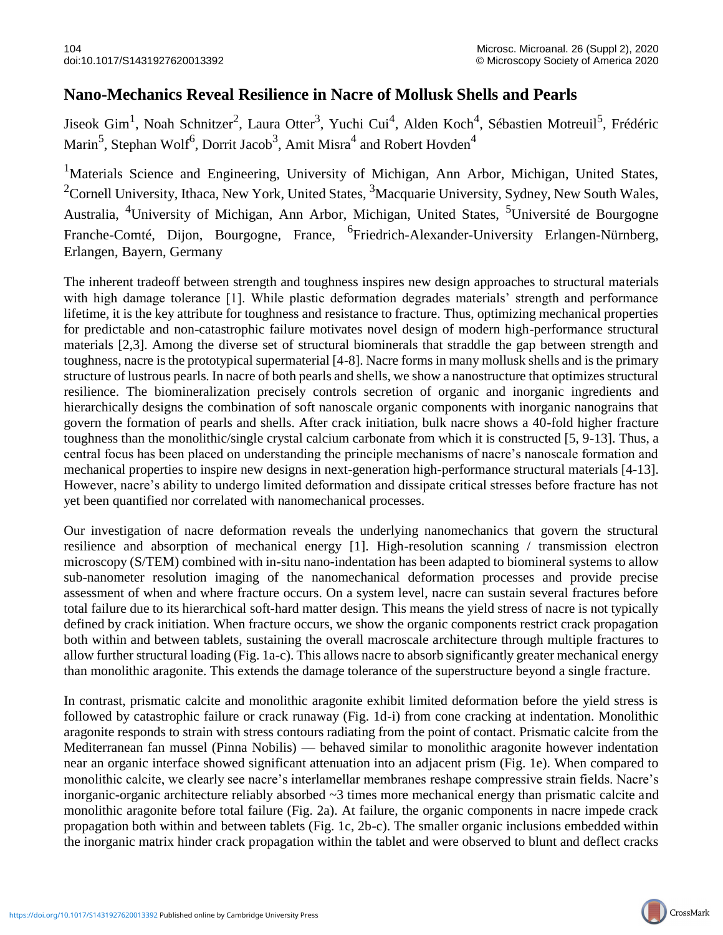## **Nano-Mechanics Reveal Resilience in Nacre of Mollusk Shells and Pearls**

Jiseok Gim<sup>1</sup>, Noah Schnitzer<sup>2</sup>, Laura Otter<sup>3</sup>, Yuchi Cui<sup>4</sup>, Alden Koch<sup>4</sup>, Sébastien Motreuil<sup>5</sup>, Frédéric Marin<sup>5</sup>, Stephan Wolf<sup>6</sup>, Dorrit Jacob<sup>3</sup>, Amit Misra<sup>4</sup> and Robert Hovden<sup>4</sup>

<sup>1</sup>Materials Science and Engineering, University of Michigan, Ann Arbor, Michigan, United States, <sup>2</sup>Cornell University, Ithaca, New York, United States,  $3$ Macquarie University, Sydney, New South Wales, Australia, 4University of Michigan, Ann Arbor, Michigan, United States, 5Université de Bourgogne Franche-Comté, Dijon, Bourgogne, France, <sup>6</sup>Friedrich-Alexander-University Erlangen-Nürnberg, Erlangen, Bayern, Germany

The inherent tradeoff between strength and toughness inspires new design approaches to structural materials with high damage tolerance [1]. While plastic deformation degrades materials' strength and performance lifetime, it is the key attribute for toughness and resistance to fracture. Thus, optimizing mechanical properties for predictable and non-catastrophic failure motivates novel design of modern high-performance structural materials [2,3]. Among the diverse set of structural biominerals that straddle the gap between strength and toughness, nacre is the prototypical supermaterial [4-8]. Nacre forms in many mollusk shells and is the primary structure of lustrous pearls. In nacre of both pearls and shells, we show a nanostructure that optimizes structural resilience. The biomineralization precisely controls secretion of organic and inorganic ingredients and hierarchically designs the combination of soft nanoscale organic components with inorganic nanograins that govern the formation of pearls and shells. After crack initiation, bulk nacre shows a 40-fold higher fracture toughness than the monolithic/single crystal calcium carbonate from which it is constructed [5, 9-13]. Thus, a central focus has been placed on understanding the principle mechanisms of nacre's nanoscale formation and mechanical properties to inspire new designs in next-generation high-performance structural materials [4-13]. However, nacre's ability to undergo limited deformation and dissipate critical stresses before fracture has not yet been quantified nor correlated with nanomechanical processes.

Our investigation of nacre deformation reveals the underlying nanomechanics that govern the structural resilience and absorption of mechanical energy [1]. High-resolution scanning / transmission electron microscopy (S/TEM) combined with in-situ nano-indentation has been adapted to biomineral systems to allow sub-nanometer resolution imaging of the nanomechanical deformation processes and provide precise assessment of when and where fracture occurs. On a system level, nacre can sustain several fractures before total failure due to its hierarchical soft-hard matter design. This means the yield stress of nacre is not typically defined by crack initiation. When fracture occurs, we show the organic components restrict crack propagation both within and between tablets, sustaining the overall macroscale architecture through multiple fractures to allow further structural loading (Fig. 1a-c). This allows nacre to absorb significantly greater mechanical energy than monolithic aragonite. This extends the damage tolerance of the superstructure beyond a single fracture.

In contrast, prismatic calcite and monolithic aragonite exhibit limited deformation before the yield stress is followed by catastrophic failure or crack runaway (Fig. 1d-i) from cone cracking at indentation. Monolithic aragonite responds to strain with stress contours radiating from the point of contact. Prismatic calcite from the Mediterranean fan mussel (Pinna Nobilis) — behaved similar to monolithic aragonite however indentation near an organic interface showed significant attenuation into an adjacent prism (Fig. 1e). When compared to monolithic calcite, we clearly see nacre's interlamellar membranes reshape compressive strain fields. Nacre's inorganic-organic architecture reliably absorbed ~3 times more mechanical energy than prismatic calcite and monolithic aragonite before total failure (Fig. 2a). At failure, the organic components in nacre impede crack propagation both within and between tablets (Fig. 1c, 2b-c). The smaller organic inclusions embedded within the inorganic matrix hinder crack propagation within the tablet and were observed to blunt and deflect cracks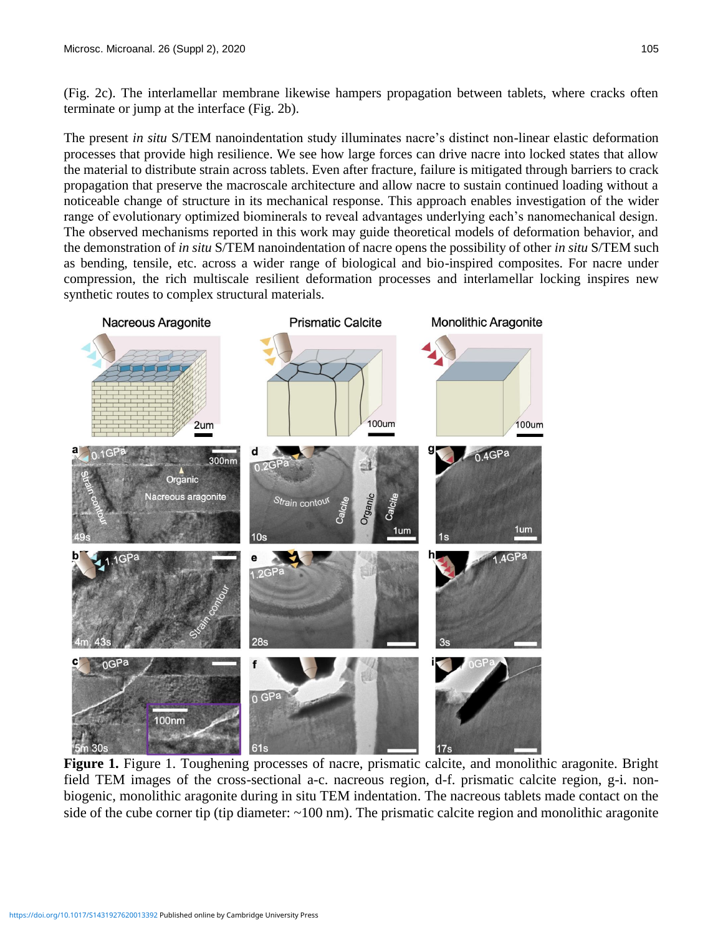(Fig. 2c). The interlamellar membrane likewise hampers propagation between tablets, where cracks often terminate or jump at the interface (Fig. 2b).

The present *in situ* S/TEM nanoindentation study illuminates nacre's distinct non-linear elastic deformation processes that provide high resilience. We see how large forces can drive nacre into locked states that allow the material to distribute strain across tablets. Even after fracture, failure is mitigated through barriers to crack propagation that preserve the macroscale architecture and allow nacre to sustain continued loading without a noticeable change of structure in its mechanical response. This approach enables investigation of the wider range of evolutionary optimized biominerals to reveal advantages underlying each's nanomechanical design. The observed mechanisms reported in this work may guide theoretical models of deformation behavior, and the demonstration of *in situ* S/TEM nanoindentation of nacre opens the possibility of other *in situ* S/TEM such as bending, tensile, etc. across a wider range of biological and bio-inspired composites. For nacre under compression, the rich multiscale resilient deformation processes and interlamellar locking inspires new synthetic routes to complex structural materials.



**Figure 1.** Figure 1. Toughening processes of nacre, prismatic calcite, and monolithic aragonite. Bright field TEM images of the cross-sectional a-c. nacreous region, d-f. prismatic calcite region, g-i. nonbiogenic, monolithic aragonite during in situ TEM indentation. The nacreous tablets made contact on the side of the cube corner tip (tip diameter:  $\sim$ 100 nm). The prismatic calcite region and monolithic aragonite